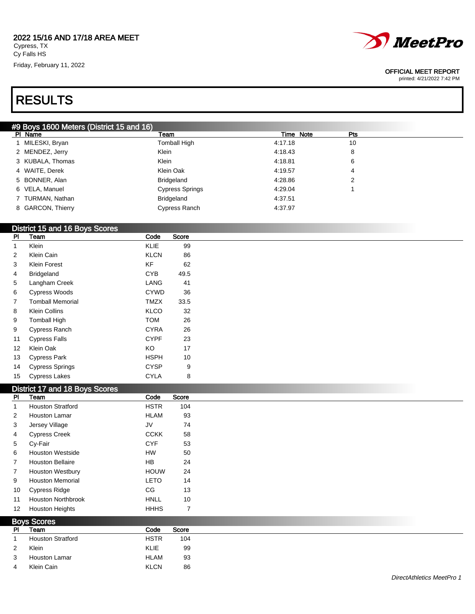Friday, February 11, 2022



#### OFFICIAL MEET REPORT

printed: 4/21/2022 7:42 PM

# RESULTS

### #9 Boys 1600 Meters (District 15 and 16)

| 10<br>1 MILESKI, Bryan<br>Tomball High<br>4:17.18<br>2 MENDEZ, Jerry<br>Klein<br>4:18.43<br>8<br>Klein<br>3 KUBALA, Thomas<br>4:18.81<br>6<br>Klein Oak<br>4 WAITE, Derek<br>4:19.57<br>4<br>5 BONNER, Alan<br>Bridgeland<br>4:28.86<br>2<br>6 VELA, Manuel<br>Cypress Springs<br>4:29.04<br><b>Bridgeland</b><br>7 TURMAN, Nathan<br>4:37.51<br>8 GARCON, Thierry<br>Cypress Ranch<br>4:37.97 | PI Name | Team | Time Note | Pts |
|------------------------------------------------------------------------------------------------------------------------------------------------------------------------------------------------------------------------------------------------------------------------------------------------------------------------------------------------------------------------------------------------|---------|------|-----------|-----|
|                                                                                                                                                                                                                                                                                                                                                                                                |         |      |           |     |
|                                                                                                                                                                                                                                                                                                                                                                                                |         |      |           |     |
|                                                                                                                                                                                                                                                                                                                                                                                                |         |      |           |     |
|                                                                                                                                                                                                                                                                                                                                                                                                |         |      |           |     |
|                                                                                                                                                                                                                                                                                                                                                                                                |         |      |           |     |
|                                                                                                                                                                                                                                                                                                                                                                                                |         |      |           |     |
|                                                                                                                                                                                                                                                                                                                                                                                                |         |      |           |     |
|                                                                                                                                                                                                                                                                                                                                                                                                |         |      |           |     |

### District 15 and 16 Boys Scores

| PI | Team                    | Code        | Score |
|----|-------------------------|-------------|-------|
| 1  | Klein                   | KLIE        | 99    |
| 2  | Klein Cain              | <b>KLCN</b> | 86    |
| 3  | Klein Forest            | ΚF          | 62    |
| 4  | <b>Bridgeland</b>       | <b>CYB</b>  | 49.5  |
| 5  | Langham Creek           | LANG        | 41    |
| 6  | <b>Cypress Woods</b>    | <b>CYWD</b> | 36    |
| 7  | <b>Tomball Memorial</b> | <b>TMZX</b> | 33.5  |
| 8  | Klein Collins           | KLCO        | 32    |
| 9  | <b>Tomball High</b>     | <b>TOM</b>  | 26    |
| 9  | Cypress Ranch           | CYRA        | 26    |
| 11 | <b>Cypress Falls</b>    | <b>CYPF</b> | 23    |
| 12 | Klein Oak               | ΚO          | 17    |
| 13 | <b>Cypress Park</b>     | <b>HSPH</b> | 10    |
| 14 | <b>Cypress Springs</b>  | CYSP        | 9     |
| 15 | <b>Cypress Lakes</b>    | CYLA        | 8     |

#### District 17 and 18 Boys Scores

| <b>PI</b>      | Team                      | Code        | Score |
|----------------|---------------------------|-------------|-------|
|                | <b>Houston Stratford</b>  | <b>HSTR</b> | 104   |
| $\overline{2}$ | <b>Houston Lamar</b>      | <b>HLAM</b> | 93    |
| 3              | Jersey Village            | JV          | 74    |
| 4              | <b>Cypress Creek</b>      | <b>CCKK</b> | 58    |
| 5              | Cy-Fair                   | <b>CYF</b>  | 53    |
| 6              | <b>Houston Westside</b>   | <b>HW</b>   | 50    |
| $\overline{7}$ | <b>Houston Bellaire</b>   | <b>HB</b>   | 24    |
| $\overline{7}$ | <b>Houston Westbury</b>   | <b>HOUW</b> | 24    |
| 9              | <b>Houston Memorial</b>   | <b>LETO</b> | 14    |
| 10             | <b>Cypress Ridge</b>      | CG          | 13    |
| 11             | <b>Houston Northbrook</b> | <b>HNLL</b> | 10    |
| 12             | <b>Houston Heights</b>    | <b>HHHS</b> | 7     |

| <b>Boys Scores</b> |                          |             |       |  |
|--------------------|--------------------------|-------------|-------|--|
| <b>PI</b>          | Team                     | Code        | Score |  |
|                    | <b>Houston Stratford</b> | <b>HSTR</b> | 104   |  |
| $\overline{2}$     | Klein                    | <b>KLIE</b> | 99    |  |
| 3                  | Houston Lamar            | <b>HLAM</b> | 93    |  |
| 4                  | Klein Cain               | <b>KLCN</b> | 86    |  |